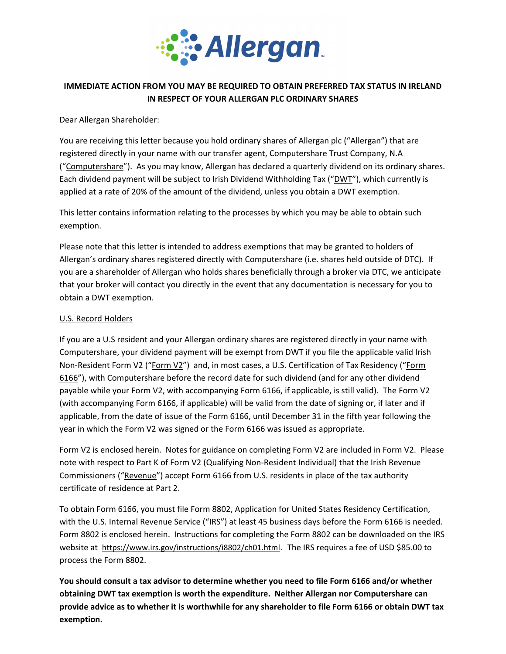

# **IMMEDIATE ACTION FROM YOU MAY BE REQUIRED TO OBTAIN PREFERRED TAX STATUS IN IRELAND IN RESPECT OF YOUR ALLERGAN PLC ORDINARY SHARES**

## Dear Allergan Shareholder:

You are receiving this letter because you hold ordinary shares of Allergan plc ("Allergan") that are registered directly in your name with our transfer agent, Computershare Trust Company, N.A ("Computershare"). As you may know, Allergan has declared a quarterly dividend on its ordinary shares. Each dividend payment will be subject to Irish Dividend Withholding Tax ("DWT"), which currently is applied at a rate of 20% of the amount of the dividend, unless you obtain a DWT exemption.

This letter contains information relating to the processes by which you may be able to obtain such exemption.

Please note that this letter is intended to address exemptions that may be granted to holders of Allergan's ordinary shares registered directly with Computershare (i.e. shares held outside of DTC). If you are a shareholder of Allergan who holds shares beneficially through a broker via DTC, we anticipate that your broker will contact you directly in the event that any documentation is necessary for you to obtain a DWT exemption.

#### U.S. Record Holders

If you are a U.S resident and your Allergan ordinary shares are registered directly in your name with Computershare, your dividend payment will be exempt from DWT if you file the applicable valid Irish Non‐Resident Form V2 ("Form V2") and, in most cases, a U.S. Certification of Tax Residency ("Form 6166"), with Computershare before the record date for such dividend (and for any other dividend payable while your Form V2, with accompanying Form 6166, if applicable, is still valid). The Form V2 (with accompanying Form 6166, if applicable) will be valid from the date of signing or, if later and if applicable, from the date of issue of the Form 6166, until December 31 in the fifth year following the year in which the Form V2 was signed or the Form 6166 was issued as appropriate.

Form V2 is enclosed herein. Notes for guidance on completing Form V2 are included in Form V2. Please note with respect to Part K of Form V2 (Qualifying Non‐Resident Individual) that the Irish Revenue Commissioners ("Revenue") accept Form 6166 from U.S. residents in place of the tax authority certificate of residence at Part 2.

To obtain Form 6166, you must file Form 8802, Application for United States Residency Certification, with the U.S. Internal Revenue Service ("IRS") at least 45 business days before the Form 6166 is needed. Form 8802 is enclosed herein.Instructions for completing the Form 8802 can be downloaded on the IRS website at https://www.irs.gov/instructions/i8802/ch01.html. The IRS requires a fee of USD \$85.00 to process the Form 8802.

**You should consult a tax advisor to determine whether you need to file Form 6166 and/or whether obtaining DWT tax exemption is worth the expenditure. Neither Allergan nor Computershare can** provide advice as to whether it is worthwhile for any shareholder to file Form 6166 or obtain DWT tax **exemption.**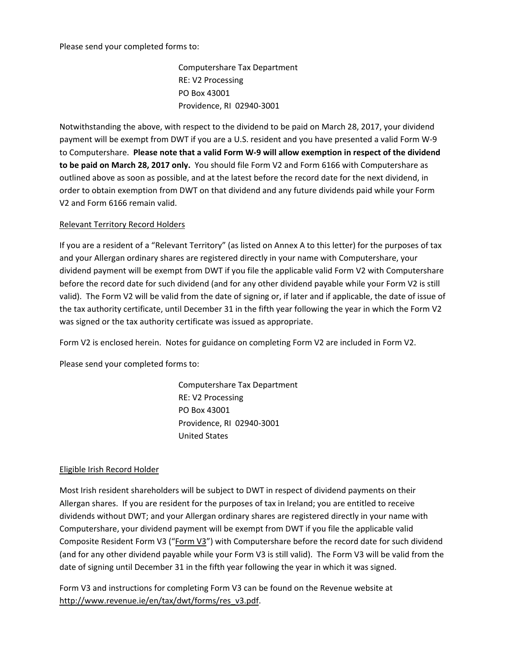#### Please send your completed forms to:

Computershare Tax Department RE: V2 Processing PO Box 43001 Providence, RI 02940‐3001

Notwithstanding the above, with respect to the dividend to be paid on March 28, 2017, your dividend payment will be exempt from DWT if you are a U.S. resident and you have presented a valid Form W‐9 to Computershare. **Please note that a valid Form W‐9 will allow exemption in respect of the dividend to be paid on March 28, 2017 only.** You should file Form V2 and Form 6166 with Computershare as outlined above as soon as possible, and at the latest before the record date for the next dividend, in order to obtain exemption from DWT on that dividend and any future dividends paid while your Form V2 and Form 6166 remain valid.

## Relevant Territory Record Holders

If you are a resident of a "Relevant Territory" (as listed on Annex A to this letter) for the purposes of tax and your Allergan ordinary shares are registered directly in your name with Computershare, your dividend payment will be exempt from DWT if you file the applicable valid Form V2 with Computershare before the record date for such dividend (and for any other dividend payable while your Form V2 is still valid). The Form V2 will be valid from the date of signing or, if later and if applicable, the date of issue of the tax authority certificate, until December 31 in the fifth year following the year in which the Form V2 was signed or the tax authority certificate was issued as appropriate.

Form V2 is enclosed herein. Notes for guidance on completing Form V2 are included in Form V2.

Please send your completed forms to:

Computershare Tax Department RE: V2 Processing PO Box 43001 Providence, RI 02940‐3001 United States

# Eligible Irish Record Holder

Most Irish resident shareholders will be subject to DWT in respect of dividend payments on their Allergan shares. If you are resident for the purposes of tax in Ireland; you are entitled to receive dividends without DWT; and your Allergan ordinary shares are registered directly in your name with Computershare, your dividend payment will be exempt from DWT if you file the applicable valid Composite Resident Form V3 ("Form V3") with Computershare before the record date for such dividend (and for any other dividend payable while your Form V3 is still valid). The Form V3 will be valid from the date of signing until December 31 in the fifth year following the year in which it was signed.

Form V3 and instructions for completing Form V3 can be found on the Revenue website at http://www.revenue.ie/en/tax/dwt/forms/res\_v3.pdf.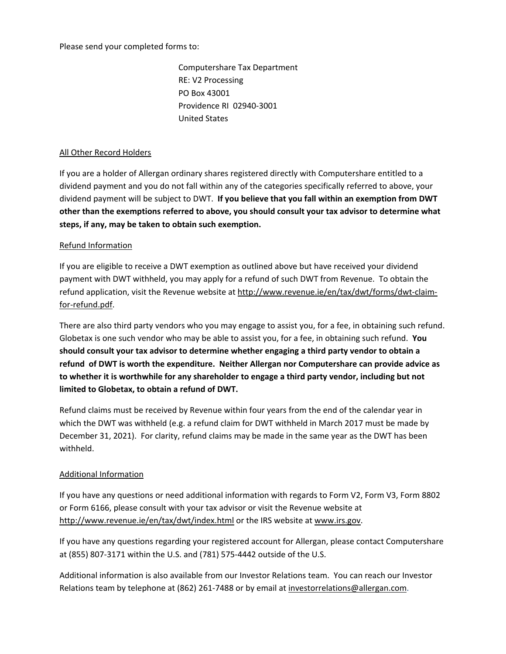Please send your completed forms to:

Computershare Tax Department RE: V2 Processing PO Box 43001 Providence RI 02940‐3001 United States

## All Other Record Holders

If you are a holder of Allergan ordinary shares registered directly with Computershare entitled to a dividend payment and you do not fall within any of the categories specifically referred to above, your dividend payment will be subject to DWT. **If you believe that you fall within an exemption from DWT other than the exemptions referred to above, you should consult your tax advisor to determine what steps, if any, may be taken to obtain such exemption.**

## Refund Information

If you are eligible to receive a DWT exemption as outlined above but have received your dividend payment with DWT withheld, you may apply for a refund of such DWT from Revenue. To obtain the refund application, visit the Revenue website at http://www.revenue.ie/en/tax/dwt/forms/dwt‐claim‐ for‐refund.pdf.

There are also third party vendors who you may engage to assist you, for a fee, in obtaining such refund. Globetax is one such vendor who may be able to assist you, for a fee, in obtaining such refund. **You should consult your tax advisor to determine whether engaging a third party vendor to obtain a refund of DWT is worth the expenditure. Neither Allergan nor Computershare can provide advice as to whether it is worthwhile for any shareholder to engage a third party vendor, including but not limited to Globetax, to obtain a refund of DWT.**

Refund claims must be received by Revenue within four years from the end of the calendar year in which the DWT was withheld (e.g. a refund claim for DWT withheld in March 2017 must be made by December 31, 2021). For clarity, refund claims may be made in the same year as the DWT has been withheld.

# Additional Information

If you have any questions or need additional information with regards to Form V2, Form V3, Form 8802 or Form 6166, please consult with your tax advisor or visit the Revenue website at http://www.revenue.ie/en/tax/dwt/index.html or the IRS website at www.irs.gov.

If you have any questions regarding your registered account for Allergan, please contact Computershare at (855) 807‐3171 within the U.S. and (781) 575‐4442 outside of the U.S.

Additional information is also available from our Investor Relations team. You can reach our Investor Relations team by telephone at (862) 261-7488 or by email at investorrelations@allergan.com.